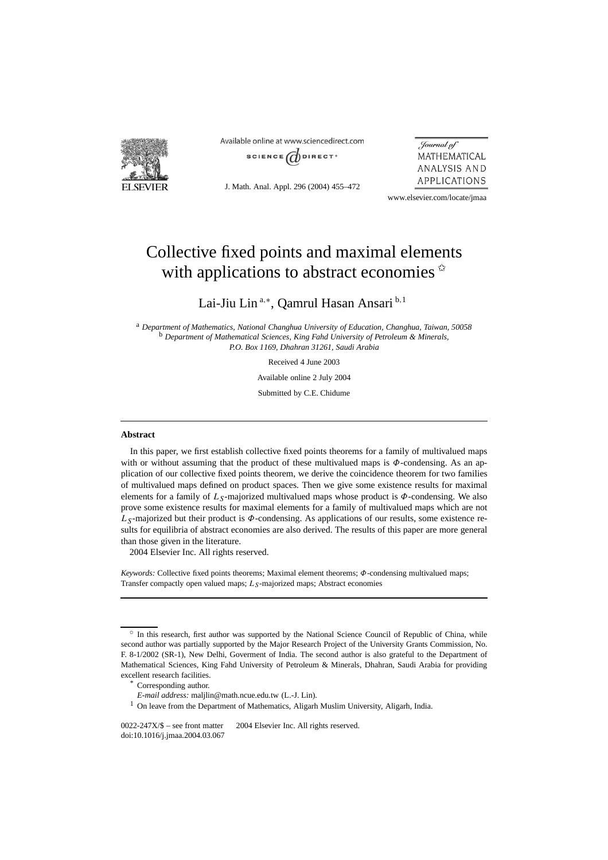

Available online at www.sciencedirect.com SCIENCE  $\overrightarrow{a}$  DIRECT<sup>®</sup>

J. Math. Anal. Appl. 296 (2004) 455–472

Journal of MATHEMATICAL ANALYSIS AND APPLICATIONS

www.elsevier.com/locate/jmaa

# Collective fixed points and maximal elements with applications to abstract economies  $\dot{\alpha}$

Lai-Jiu Lin <sup>a</sup>*,*<sup>∗</sup> , Qamrul Hasan Ansari <sup>b</sup>*,*<sup>1</sup>

<sup>a</sup> *Department of Mathematics, National Changhua University of Education, Changhua, Taiwan, 50058* <sup>b</sup> *Department of Mathematical Sciences, King Fahd University of Petroleum & Minerals, P.O. Box 1169, Dhahran 31261, Saudi Arabia*

Received 4 June 2003

Available online 2 July 2004

Submitted by C.E. Chidume

#### **Abstract**

In this paper, we first establish collective fixed points theorems for a family of multivalued maps with or without assuming that the product of these multivalued maps is *Φ*-condensing. As an application of our collective fixed points theorem, we derive the coincidence theorem for two families of multivalued maps defined on product spaces. Then we give some existence results for maximal elements for a family of  $L<sub>S</sub>$ -majorized multivalued maps whose product is  $\Phi$ -condensing. We also prove some existence results for maximal elements for a family of multivalued maps which are not *LS*-majorized but their product is *Φ*-condensing. As applications of our results, some existence results for equilibria of abstract economies are also derived. The results of this paper are more general than those given in the literature.

2004 Elsevier Inc. All rights reserved.

*Keywords:* Collective fixed points theorems; Maximal element theorems; *Φ*-condensing multivalued maps; Transfer compactly open valued maps; *L<sub>S</sub>*-majorized maps; Abstract economies

In this research, first author was supported by the National Science Council of Republic of China, while second author was partially supported by the Major Research Project of the University Grants Commission, No. F. 8-1/2002 (SR-1), New Delhi, Goverment of India. The second author is also grateful to the Department of Mathematical Sciences, King Fahd University of Petroleum & Minerals, Dhahran, Saudi Arabia for providing excellent research facilities.

Corresponding author.

*E-mail address:* maljlin@math.ncue.edu.tw (L.-J. Lin).

<sup>1</sup> On leave from the Department of Mathematics, Aligarh Muslim University, Aligarh, India.

 $0022-247X/\$$  – see front matter  $\degree$  2004 Elsevier Inc. All rights reserved. doi:10.1016/j.jmaa.2004.03.067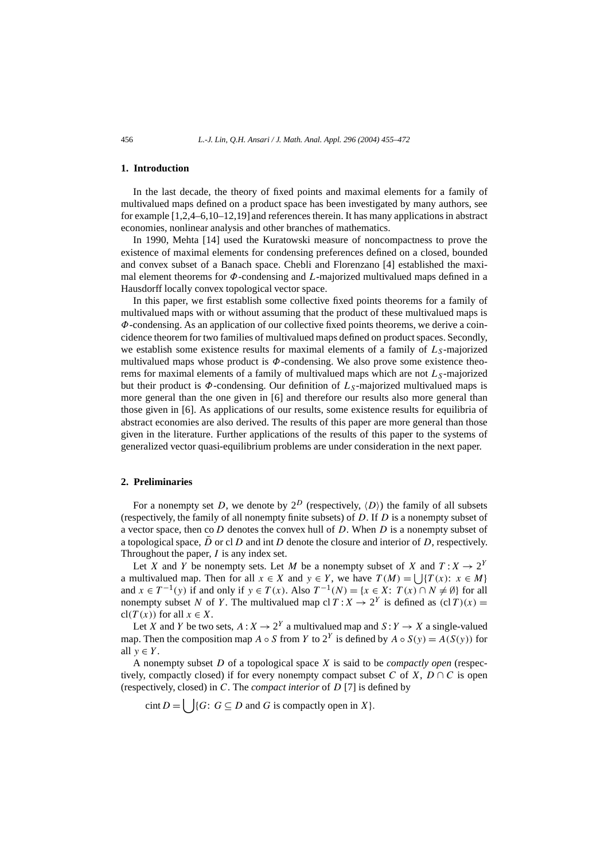### **1. Introduction**

In the last decade, the theory of fixed points and maximal elements for a family of multivalued maps defined on a product space has been investigated by many authors, see for example [1,2,4–6,10–12,19] and references therein. It has many applications in abstract economies, nonlinear analysis and other branches of mathematics.

In 1990, Mehta [14] used the Kuratowski measure of noncompactness to prove the existence of maximal elements for condensing preferences defined on a closed, bounded and convex subset of a Banach space. Chebli and Florenzano [4] established the maximal element theorems for *Φ*-condensing and *L*-majorized multivalued maps defined in a Hausdorff locally convex topological vector space.

In this paper, we first establish some collective fixed points theorems for a family of multivalued maps with or without assuming that the product of these multivalued maps is *Φ*-condensing. As an application of our collective fixed points theorems, we derive a coincidence theorem for two families of multivalued maps defined on product spaces. Secondly, we establish some existence results for maximal elements of a family of  $L<sub>S</sub>$ -majorized multivalued maps whose product is *Φ*-condensing. We also prove some existence theorems for maximal elements of a family of multivalued maps which are not L<sub>S</sub>-majorized but their product is *Φ*-condensing. Our definition of *LS* -majorized multivalued maps is more general than the one given in [6] and therefore our results also more general than those given in [6]. As applications of our results, some existence results for equilibria of abstract economies are also derived. The results of this paper are more general than those given in the literature. Further applications of the results of this paper to the systems of generalized vector quasi-equilibrium problems are under consideration in the next paper.

## **2. Preliminaries**

For a nonempty set D, we denote by  $2^D$  (respectively,  $\langle D \rangle$ ) the family of all subsets (respectively, the family of all nonempty finite subsets) of *D*. If *D* is a nonempty subset of a vector space, then co *D* denotes the convex hull of *D*. When *D* is a nonempty subset of a topological space,  $\overline{D}$  or cl *D* and int *D* denote the closure and interior of *D*, respectively. Throughout the paper, *I* is any index set.

Let *X* and *Y* be nonempty sets. Let *M* be a nonempty subset of *X* and  $T: X \to 2^Y$ a multivalued map. Then for all  $x \in X$  and  $y \in Y$ , we have  $T(M) = \int |{T(x): x \in M}|$ and  $x \in T^{-1}(y)$  if and only if  $y \in T(x)$ . Also  $T^{-1}(N) = \{x \in X: T(x) \cap N \neq \emptyset\}$  for all nonempty subset *N* of *Y*. The multivalued map cl  $T: X \to 2^Y$  is defined as  $(clT)(x) =$ cl( $T(x)$ ) for all  $x \in X$ .

Let *X* and *Y* be two sets,  $A: X \to 2^Y$  a multivalued map and  $S: Y \to X$  a single-valued map. Then the composition map *A* ◦ *S* from *Y* to  $2^Y$  is defined by *A* ◦  $S(y) = A(S(y))$  for all  $v \in Y$ .

A nonempty subset *D* of a topological space *X* is said to be *compactly open* (respectively, compactly closed) if for every nonempty compact subset *C* of *X*, *D*  $\cap$  *C* is open (respectively, closed) in *C*. The *compact interior* of *D* [7] is defined by

cint  $D = \begin{cases} \n\begin{cases} G: G \subseteq D \text{ and } G \text{ is compactly open in } X \n\end{cases}.\n\end{cases}$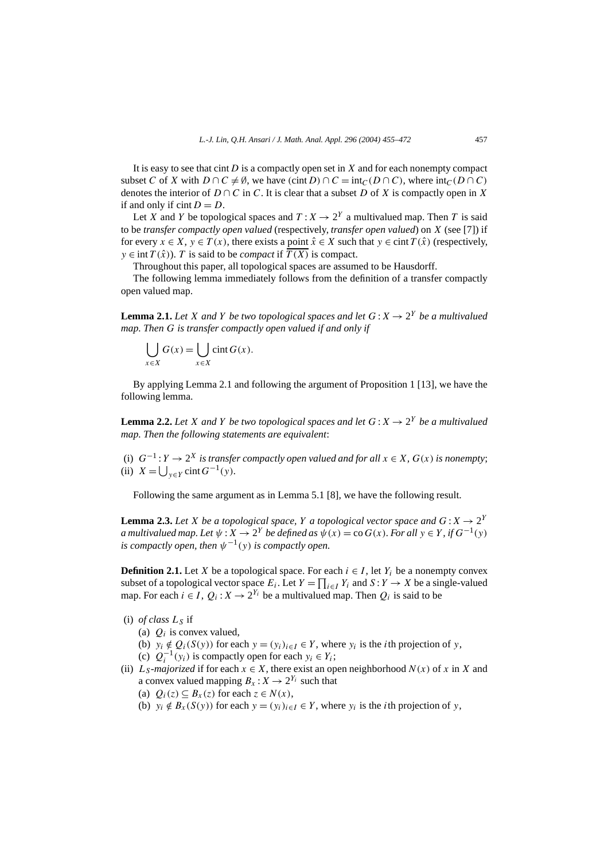It is easy to see that cint*D* is a compactly open set in *X* and for each nonempty compact subset *C* of *X* with  $D \cap C \neq \emptyset$ , we have  $(\text{cint } D) \cap C = \text{int}_C(D \cap C)$ , where  $\text{int}_C(D \cap C)$ denotes the interior of  $D \cap C$  in C. It is clear that a subset D of X is compactly open in X if and only if  $\text{cint } D = D$ .

Let *X* and *Y* be topological spaces and  $T: X \to 2^Y$  a multivalued map. Then *T* is said to be *transfer compactly open valued* (respectively, *transfer open valued*) on *X* (see [7]) if for every  $x \in X$ ,  $y \in T(x)$ , there exists a point  $\hat{x} \in X$  such that  $y \in \text{cint } T(\hat{x})$  (respectively,  $y \in \text{int } T(\hat{x})$ . *T* is said to be *compact* if  $\overline{T(X)}$  is compact.

Throughout this paper, all topological spaces are assumed to be Hausdorff.

The following lemma immediately follows from the definition of a transfer compactly open valued map.

**Lemma 2.1.** Let *X* and *Y* be two topological spaces and let  $G: X \rightarrow 2^Y$  be a multivalued *map. Then G is transfer compactly open valued if and only if*

$$
\bigcup_{x \in X} G(x) = \bigcup_{x \in X} \text{cint}\,G(x).
$$

By applying Lemma 2.1 and following the argument of Proposition 1 [13], we have the following lemma.

**Lemma 2.2.** Let *X* and *Y* be two topological spaces and let  $G: X \rightarrow 2^Y$  be a multivalued *map. Then the following statements are equivalent*:

(i)  $G^{-1}: Y \to 2^X$  *is transfer compactly open valued and for all*  $x \in X$ ,  $G(x)$  *is nonempty*; (ii)  $X = \bigcup_{y \in Y} \text{cint } G^{-1}(y)$ *.* 

Following the same argument as in Lemma 5.1 [8], we have the following result.

**Lemma 2.3.** Let *X* be a topological space, *Y* a topological vector space and  $G: X \rightarrow 2^Y$ *a multivalued map. Let*  $\psi$  :  $\overline{X} \to 2^Y$  *be defined as*  $\psi(x) =$  co  $G(x)$ *. For all*  $y \in Y$ *, if*  $G^{-1}(y)$ *is compactly open, then*  $\psi^{-1}(y)$  *is compactly open.* 

**Definition 2.1.** Let *X* be a topological space. For each  $i \in I$ , let  $Y_i$  be a nonempty convex subset of a topological vector space  $E_i$ . Let  $Y = \prod_{i \in I} Y_i$  and  $S: Y \to X$  be a single-valued map. For each  $i \in I$ ,  $Q_i$ :  $X \rightarrow 2^{Y_i}$  be a multivalued map. Then  $Q_i$  is said to be

## (i) *of class*  $L_S$  if

- (a) *Qi* is convex valued,
- (b)  $y_i \notin Q_i(S(y))$  for each  $y = (y_i)_{i \in I} \in Y$ , where  $y_i$  is the *i*th projection of *y*,
- (c)  $Q_i^{-1}(y_i)$  is compactly open for each  $y_i \in Y_i$ ;
- (ii) *L<sub>S</sub>*-*majorized* if for each  $x \in X$ , there exist an open neighborhood  $N(x)$  of *x* in *X* and a convex valued mapping  $B_x : X \to 2^{Y_i}$  such that
	- (a)  $Q_i(z) \subseteq B_x(z)$  for each  $z \in N(x)$ ,
	- (b)  $y_i \notin B_x(S(y))$  for each  $y = (y_i)_{i \in I} \in Y$ , where  $y_i$  is the *i*th projection of *y*,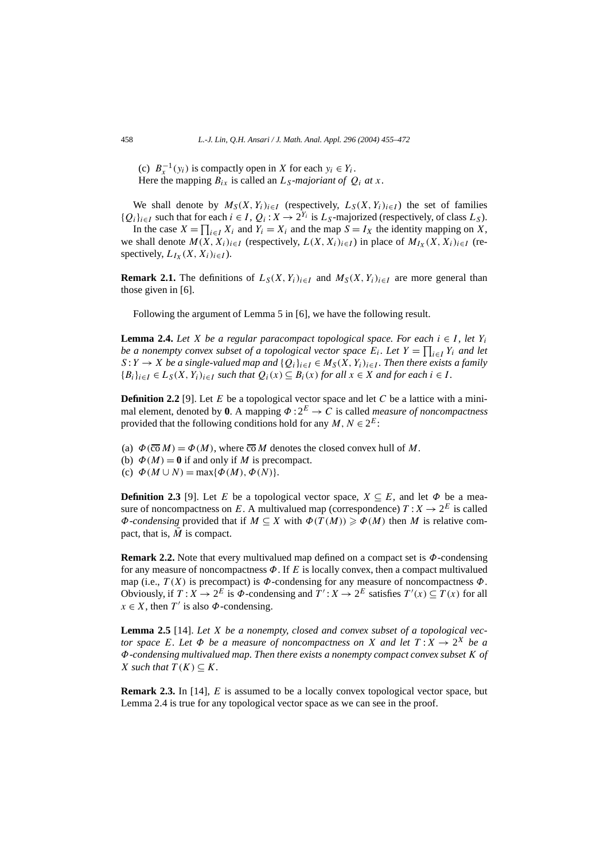(c)  $B_x^{-1}(y_i)$  is compactly open in *X* for each  $y_i \in Y_i$ . Here the mapping  $B_{ix}$  is called an  $L_s$ -majoriant of  $Q_i$  at  $x$ .

We shall denote by  $M_S(X, Y_i)_{i \in I}$  (respectively,  $L_S(X, Y_i)_{i \in I}$ ) the set of families { $Q_i$ } $_{i \in I}$  such that for each  $i \in I$ ,  $Q_i$  :  $X \to 2^{Y_i}$  is  $L_S$ -majorized (respectively, of class  $L_S$ ). In the case  $X = \prod_{i \in I} X_i$  and  $Y_i = X_i$  and the map  $S = I_X$  the identity mapping on X,

we shall denote  $M(X, X_i)_{i \in I}$  (respectively,  $L(X, X_i)_{i \in I}$ ) in place of  $M_{I_X}(X, X_i)_{i \in I}$  (respectively,  $L_{I_X}(X, X_i)_{i \in I}$ ).

**Remark 2.1.** The definitions of  $L_S(X, Y_i)_{i \in I}$  and  $M_S(X, Y_i)_{i \in I}$  are more general than those given in [6].

Following the argument of Lemma 5 in [6], we have the following result.

**Lemma 2.4.** *Let X be a regular paracompact topological space. For each*  $i \in I$ *, let*  $Y_i$ *be a nonempty convex subset of a topological vector space*  $E_i$ *. Let*  $Y = \prod_{i \in I} Y_i$  and let  $S: Y \to X$  *be a single-valued map and*  $\{Q_i\}_{i \in I} \in M_S(X, Y_i)_{i \in I}$ *. Then there exists a family*  ${B_i}_{i \in I} \in L_S(X, Y_i)_{i \in I}$  *such that*  $O_i(x) \subseteq B_i(x)$  *for all*  $x \in X$  *and for each*  $i \in I$ .

**Definition 2.2** [9]. Let *E* be a topological vector space and let *C* be a lattice with a minimal element, denoted by **0**. A mapping  $\Phi: 2^E \to C$  is called *measure of noncompactness* provided that the following conditions hold for any  $M, N \in 2^E$ :

- (a)  $\Phi(\overline{co} M) = \Phi(M)$ , where  $\overline{co} M$  denotes the closed convex hull of M.
- (b)  $\Phi(M) = 0$  if and only if M is precompact.
- (c)  $\Phi(M \cup N) = \max{\Phi(M), \Phi(N)}.$

**Definition 2.3** [9]. Let *E* be a topological vector space,  $X \subseteq E$ , and let  $\Phi$  be a measure of noncompactness on *E*. A multivalued map (correspondence)  $T: X \to 2^E$  is called  $\Phi$ *-condensing* provided that if  $M \subseteq X$  with  $\Phi(T(M)) \geq \Phi(M)$  then M is relative compact, that is,  $\overline{M}$  is compact.

**Remark 2.2.** Note that every multivalued map defined on a compact set is *Φ*-condensing for any measure of noncompactness *Φ*. If *E* is locally convex, then a compact multivalued map (i.e.,  $T(X)$  is precompact) is  $\Phi$ -condensing for any measure of noncompactness  $\Phi$ . Obviously, if  $T: X \to 2^E$  is  $\Phi$ -condensing and  $T': X \to 2^E$  satisfies  $T'(x) \subseteq T(x)$  for all  $x \in X$ , then *T'* is also  $\Phi$ -condensing.

**Lemma 2.5** [14]. *Let X be a nonempty, closed and convex subset of a topological vector space E. Let*  $\Phi$  *be a measure of noncompactness on X and let*  $T: X \rightarrow 2^X$  *be a Φ-condensing multivalued map. Then there exists a nonempty compact convex subset K of X such that*  $T(K) \subseteq K$ *.* 

**Remark 2.3.** In [14], *E* is assumed to be a locally convex topological vector space, but Lemma 2.4 is true for any topological vector space as we can see in the proof.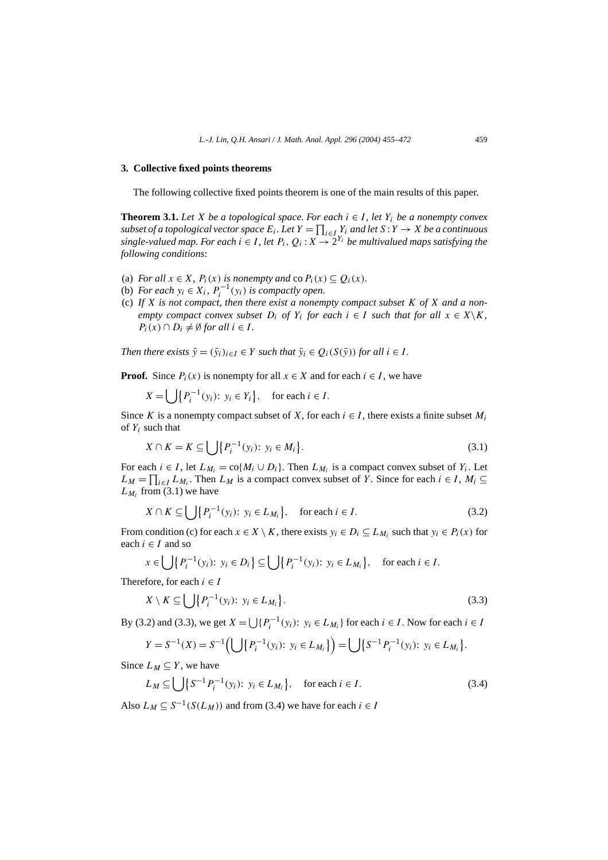## **3. Collective fixed points theorems**

The following collective fixed points theorem is one of the main results of this paper.

**Theorem 3.1.** *Let X be a topological space. For each*  $i \in I$ *, let*  $Y_i$  *be a nonempty convex subset of a topological vector space*  $E_i$ *. Let*  $Y = \prod_{i \in I} Y_i$  *and let*  $S: Y \to X$  *be a continuous single-valued map. For each*  $i \in I$ , let  $P_i, Q_i: X \to 2^{Y_i}$  be multivalued maps satisfying the *following conditions*:

- (a) *For all*  $x \in X$ *,*  $P_i(x)$  *is nonempty and* co $P_i(x) \subseteq Q_i(x)$ *.*
- (b) *For each*  $y_i \in X_i$ ,  $P_i^{-1}(y_i)$  *is compactly open.*
- (c) *If X is not compact, then there exist a nonempty compact subset K of X and a nonempty compact convex subset*  $D_i$  *of*  $Y_i$  *for each*  $i \in I$  *such that for all*  $x \in X \setminus K$ *,*  $P_i(x) \cap D_i \neq \emptyset$  *for all*  $i \in I$ .

*Then there exists*  $\bar{y} = (\bar{y}_i)_{i \in I} \in Y$  *such that*  $\bar{y}_i \in Q_i(S(\bar{y}))$  *for all*  $i \in I$ .

**Proof.** Since  $P_i(x)$  is nonempty for all  $x \in X$  and for each  $i \in I$ , we have

$$
X = \bigcup \{ P_i^{-1}(y_i) : y_i \in Y_i \}, \quad \text{for each } i \in I.
$$

Since *K* is a nonempty compact subset of *X*, for each  $i \in I$ , there exists a finite subset  $M_i$ of *Yi* such that

$$
X \cap K = K \subseteq \bigcup \{ P_i^{-1}(y_i) : y_i \in M_i \}.
$$
\n
$$
(3.1)
$$

For each  $i \in I$ , let  $L_{M_i} = \text{co}\{M_i \cup D_i\}$ . Then  $L_{M_i}$  is a compact convex subset of  $Y_i$ . Let  $L_M = \prod_{i \in I} L_{M_i}$ . Then  $L_M$  is a compact convex subset of *Y*. Since for each  $i \in I$ ,  $M_i \subseteq$  $L_{M_i}$  from (3.1) we have

$$
X \cap K \subseteq \bigcup \{ P_i^{-1}(y_i) : y_i \in L_{M_i} \}, \quad \text{for each } i \in I.
$$
 (3.2)

From condition (c) for each  $x \in X \setminus K$ , there exists  $y_i \in D_i \subseteq L_{M_i}$  such that  $y_i \in P_i(x)$  for each  $i \in I$  and so

$$
x \in \bigcup \{ P_i^{-1}(y_i) \colon y_i \in D_i \} \subseteq \bigcup \{ P_i^{-1}(y_i) \colon y_i \in L_{M_i} \}, \quad \text{for each } i \in I.
$$

Therefore, for each  $i \in I$ 

$$
X \setminus K \subseteq \bigcup \{ P_i^{-1}(y_i) : y_i \in L_{M_i} \}. \tag{3.3}
$$

By (3.2) and (3.3), we get  $X = \bigcup \{P_i^{-1}(y_i): y_i \in L_{M_i}\}\$  for each  $i \in I$ . Now for each  $i \in I$ 

$$
Y = S^{-1}(X) = S^{-1}\Big(\bigcup\{P_i^{-1}(y_i): y_i \in L_{M_i}\}\Big) = \bigcup\{S^{-1}P_i^{-1}(y_i): y_i \in L_{M_i}\}.
$$

Since  $L_M \subset Y$ , we have

$$
L_M \subseteq \bigcup \left\{ S^{-1} P_i^{-1}(y_i) : y_i \in L_{M_i} \right\}, \quad \text{for each } i \in I. \tag{3.4}
$$

Also  $L_M \subseteq S^{-1}(S(L_M))$  and from (3.4) we have for each  $i \in I$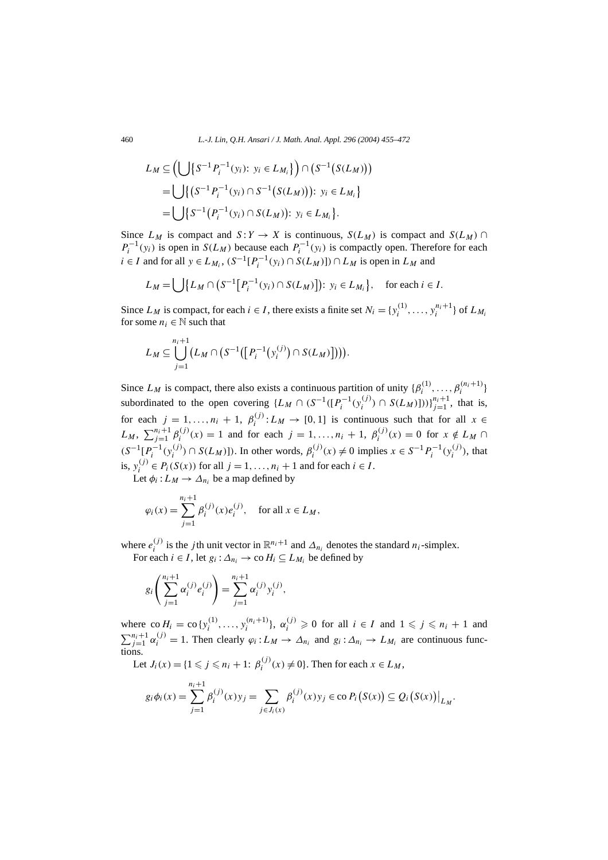$$
L_M \subseteq \left(\bigcup\{S^{-1}P_i^{-1}(y_i): y_i \in L_{M_i}\}\right) \cap \left(S^{-1}(S(L_M))\right)
$$
  
= 
$$
\bigcup \{(S^{-1}P_i^{-1}(y_i) \cap S^{-1}(S(L_M))): y_i \in L_{M_i}\}
$$
  
= 
$$
\bigcup \{S^{-1}(P_i^{-1}(y_i) \cap S(L_M)): y_i \in L_{M_i}\}.
$$

Since  $L_M$  is compact and  $S: Y \to X$  is continuous,  $S(L_M)$  is compact and  $S(L_M) \cap$  $P_i^{-1}(y_i)$  is open in *S(L<sub>M</sub>*) because each  $P_i^{-1}(y_i)$  is compactly open. Therefore for each *i* ∈ *I* and for all  $y \text{ ∈ } L_{M_i}$ ,  $(S^{-1}[P_i^{-1}(y_i) \cap S(L_M)]) \cap L_M$  is open in  $L_M$  and

$$
L_M = \bigcup \{ L_M \cap (S^{-1}[P_i^{-1}(y_i) \cap S(L_M)]): y_i \in L_{M_i} \}, \text{ for each } i \in I.
$$

Since  $L_M$  is compact, for each  $i \in I$ , there exists a finite set  $N_i = \{y_i^{(1)}, \dots, y_i^{n_i+1}\}$  of  $L_{M_i}$ for some  $n_i \in \mathbb{N}$  such that

$$
L_M \subseteq \bigcup_{j=1}^{n_i+1} (L_M \cap (S^{-1}([P_i^{-1}(y_i^{(j)}) \cap S(L_M)]))).
$$

Since  $L_M$  is compact, there also exists a continuous partition of unity  $\{\beta_i^{(1)}, \ldots, \beta_i^{(n_i+1)}\}$ subordinated to the open covering  $\{L_M \cap (S^{-1}([P_i^{-1}(y_i^{(j)}) \cap S(L_M)) ))_{j=1}^{n_i+1}$ , that is, for each  $j = 1, ..., n_i + 1$ ,  $\beta_i^{(j)}$ :  $L_M \rightarrow [0, 1]$  is continuous such that for all  $x \in$  $L_M$ ,  $\sum_{j=1}^{n_i+1} \beta_i^{(j)}(x) = 1$  and for each  $j = 1, ..., n_i + 1$ ,  $\beta_i^{(j)}(x) = 0$  for  $x \notin L_M \cap$  $(S^{-1}[P_i^{-1}(y_i^{(j)}) \cap S(L_M)])$ . In other words,  $\beta_i^{(j)}(x) \neq 0$  implies  $x \in S^{-1}P_i^{-1}(y_i^{(j)})$ , that is, *y*<sup>(*j*)</sup> ∈ *P*<sub>*i*</sub>(*S*(*x*)) for all *j* = 1, ..., *n*<sub>*i*</sub> + 1 and for each *i* ∈ *I*.

Let  $\phi_i : L_M \to \Delta_{n_i}$  be a map defined by

$$
\varphi_i(x) = \sum_{j=1}^{n_i+1} \beta_i^{(j)}(x) e_i^{(j)}, \text{ for all } x \in L_M,
$$

where  $e_i^{(j)}$  is the *j*th unit vector in  $\mathbb{R}^{n_i+1}$  and  $\Delta_{n_i}$  denotes the standard *n<sub>i</sub>*-simplex. For each  $i \in I$ , let  $g_i : \Delta_{n_i} \to \infty$   $H_i \subseteq L_M$ , be defined by

$$
g_i\left(\sum_{j=1}^{n_i+1}\alpha_i^{(j)}e_i^{(j)}\right)=\sum_{j=1}^{n_i+1}\alpha_i^{(j)}y_i^{(j)},
$$

where  $\text{co } H_i = \text{co } \{y_i^{(1)}, \ldots, y_i^{(n_i+1)}\}, \ \alpha_i^{(j)} \geq 0 \text{ for all } i \in I \text{ and } 1 \leq j \leq n_i + 1 \text{ and } 1 \leq j \leq n_i + 1 \text{ and } 1 \leq j \leq n_i + 1 \text{ and } 1 \leq j \leq n_i + 1 \text{ and } 1 \leq j \leq n_i + 1 \text{ and } 1 \leq j \leq n_i + 1 \text{ and } 1 \leq j \leq n_i + 1 \text{ and } 1 \leq j \leq n_i + 1 \text{$  $\sum_{j=1}^{n_i+1} \alpha_i^{(j)} = 1$ . Then clearly  $\varphi_i: L_M \to \Delta_{n_i}$  and  $g_i: \Delta_{n_i} \to L_{M_i}$  are continuous functions.

Let 
$$
J_i(x) = \{1 \leq j \leq n_i + 1 : \beta_i^{(j)}(x) \neq 0\}
$$
. Then for each  $x \in L_M$ ,

$$
g_i \phi_i(x) = \sum_{j=1}^{n_i+1} \beta_i^{(j)}(x) y_j = \sum_{j \in J_i(x)} \beta_i^{(j)}(x) y_j \in \text{co } P_i(S(x)) \subseteq Q_i(S(x)) \big|_{L_M}.
$$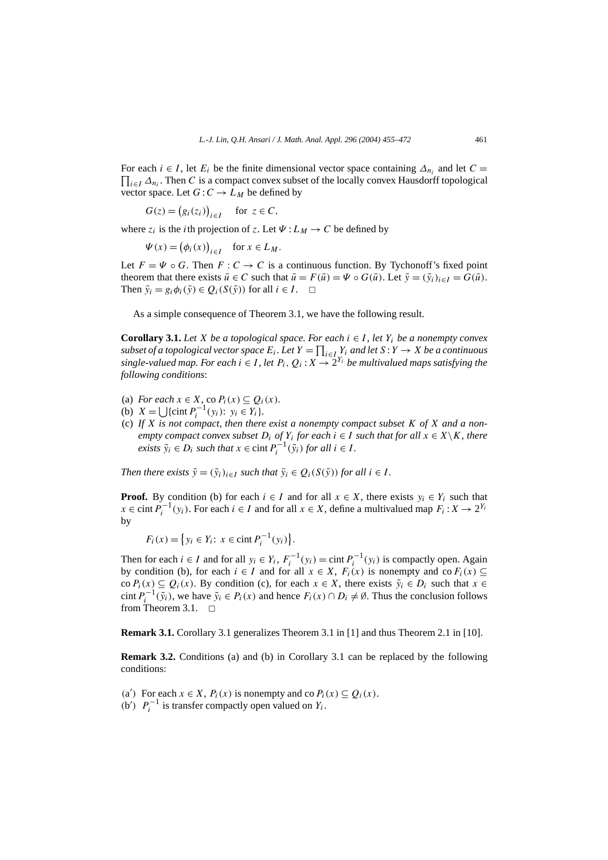For each *i*  $\in$  *I*, let *E<sub>i</sub>* be the finite dimensional vector space containing  $\Delta_{n_i}$  and let  $C =$  $\prod_{i \in I} \Delta_{n_i}$ . Then *C* is a compact convex subset of the locally convex Hausdorff topological vector space. Let  $G: C \to L_M$  be defined by

$$
G(z) = (g_i(z_i))_{i \in I} \quad \text{for } z \in C,
$$

where  $z_i$  is the *i*th projection of *z*. Let  $\Psi$  :  $L_M \to C$  be defined by

$$
\Psi(x) = \big(\phi_i(x)\big)_{i \in I} \quad \text{for } x \in L_M.
$$

Let  $F = \Psi \circ G$ . Then  $F : C \to C$  is a continuous function. By Tychonoff's fixed point theorem that there exists  $\bar{u} \in C$  such that  $\bar{u} = F(\bar{u}) = \Psi \circ G(\bar{u})$ . Let  $\bar{y} = (\bar{y}_i)_{i \in I} = G(\bar{u})$ . Then  $\bar{y}_i = g_i \phi_i(\bar{y}) \in Q_i(S(\bar{y}))$  for all  $i \in I$ .  $\Box$ 

As a simple consequence of Theorem 3.1, we have the following result.

**Corollary 3.1.** *Let X be a topological space. For each*  $i \in I$ *, let*  $Y_i$  *be a nonempty convex subset of a topological vector space*  $E_i$ *. Let*  $Y = \prod_{i \in I} Y_i$  *and let*  $S: Y \to X$  *be a continuous single-valued map. For each*  $i \in I$ , *let*  $P_i, Q_i : X \rightarrow 2^{Y_i}$  *be multivalued maps satisfying the following conditions*:

- (a) *For each*  $x \in X$ *,* co  $P_i(x) \subseteq Q_i(x)$ *.*
- (b)  $X = \bigcup \{ \text{cint } P_i^{-1}(y_i) : y_i \in Y_i \}.$
- (c) *If X is not compact, then there exist a nonempty compact subset K of X and a nonempty compact convex subset*  $D_i$  *of*  $Y_i$  *for each*  $i \in I$  *such that for all*  $x \in X \setminus K$ *, there exists*  $\tilde{y}_i \in D_i$  *such that*  $x \in \text{cint } P_i^{-1}(\tilde{y}_i)$  *for all*  $i \in I$ *.*

*Then there exists*  $\bar{y} = (\bar{y}_i)_{i \in I}$  *such that*  $\bar{y}_i \in Q_i(S(\bar{y}))$  *for all*  $i \in I$ *.* 

**Proof.** By condition (b) for each  $i \in I$  and for all  $x \in X$ , there exists  $y_i \in Y_i$  such that *x* ∈ cint  $P_i^{-1}(y_i)$ . For each *i* ∈ *I* and for all *x* ∈ *X*, define a multivalued map  $F_i : X \to 2^{Y_i}$ by

$$
F_i(x) = \{ y_i \in Y_i \colon x \in \text{cint } P_i^{-1}(y_i) \}.
$$

Then for each  $i \in I$  and for all  $y_i \in Y_i$ ,  $F_i^{-1}(y_i) = \text{cint } P_i^{-1}(y_i)$  is compactly open. Again by condition (b), for each  $i \in I$  and for all  $x \in X$ ,  $F_i(x)$  is nonempty and co $F_i(x) \subseteq$ co  $P_i(x) \subseteq Q_i(x)$ . By condition (c), for each  $x \in X$ , there exists  $\tilde{y}_i \in D_i$  such that  $x \in$ cint  $P_i^{-1}(\tilde{y}_i)$ , we have  $\tilde{y}_i \in P_i(x)$  and hence  $F_i(x) \cap D_i \neq \emptyset$ . Thus the conclusion follows from Theorem 3.1.  $\Box$ 

**Remark 3.1.** Corollary 3.1 generalizes Theorem 3.1 in [1] and thus Theorem 2.1 in [10].

**Remark 3.2.** Conditions (a) and (b) in Corollary 3.1 can be replaced by the following conditions:

- *(a')* For each *x* ∈ *X*,  $P_i(x)$  is nonempty and co  $P_i(x) ⊆ Q_i(x)$ .
- (b')  $P_i^{-1}$  is transfer compactly open valued on  $Y_i$ .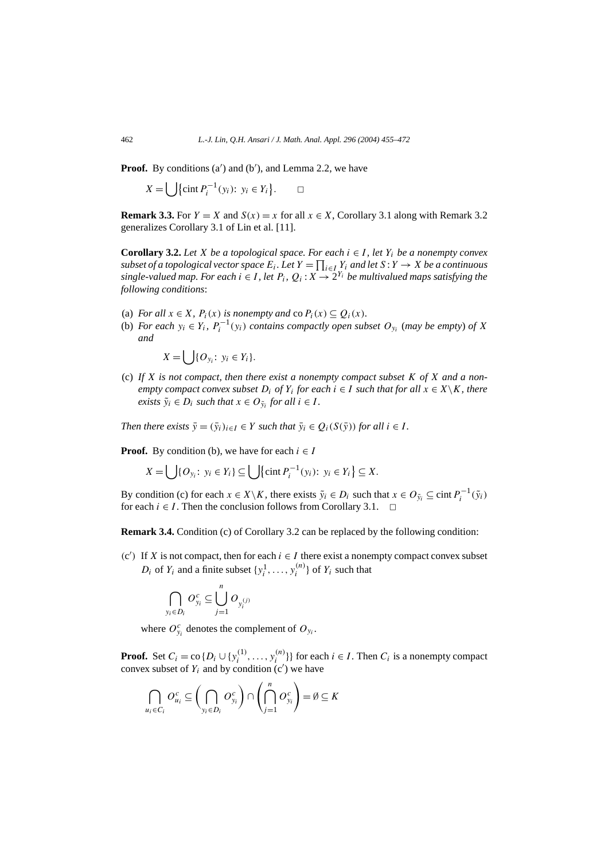Proof. By conditions (a') and (b'), and Lemma 2.2, we have

$$
X = \bigcup \{ \text{cint } P_i^{-1}(y_i) \colon y_i \in Y_i \}.
$$

**Remark 3.3.** For  $Y = X$  and  $S(x) = x$  for all  $x \in X$ , Corollary 3.1 along with Remark 3.2 generalizes Corollary 3.1 of Lin et al. [11].

**Corollary 3.2.** *Let X be a topological space. For each*  $i \in I$ *, let*  $Y_i$  *be a nonempty convex subset of a topological vector space*  $E_i$ *. Let*  $Y = \prod_{i \in I} Y_i$  *and let*  $S: Y \to X$  *be a continuous single-valued map. For each*  $i \in I$ , let  $P_i$ ,  $Q_i: X \rightarrow 2^{Y_i}$  *be multivalued maps satisfying the following conditions*:

- (a) *For all*  $x \in X$ *,*  $P_i(x)$  *is nonempty and* co  $P_i(x) \subseteq Q_i(x)$ *.*
- (b) *For each*  $y_i \in Y_i$ ,  $P_i^{-1}(y_i)$  *contains compactly open subset*  $O_{y_i}$  (*may be empty*) *of X and*

$$
X = \bigcup \{O_{y_i}: y_i \in Y_i\}.
$$

(c) *If X is not compact, then there exist a nonempty compact subset K of X and a nonempty compact convex subset*  $D_i$  *of*  $Y_i$  *for each*  $i \in I$  *such that for all*  $x \in X \setminus K$ *, there exists*  $\tilde{y}_i \in D_i$  *such that*  $x \in O_{\tilde{y}_i}$  *for all*  $i \in I$ *.* 

*Then there exists*  $\bar{y} = (\bar{y}_i)_{i \in I} \in Y$  *such that*  $\bar{y}_i \in Q_i(S(\bar{y}))$  *for all*  $i \in I$ .

**Proof.** By condition (b), we have for each  $i \in I$ 

$$
X = \bigcup \{O_{y_i}: y_i \in Y_i\} \subseteq \bigcup \{\text{cint } P_i^{-1}(y_i): y_i \in Y_i\} \subseteq X.
$$

By condition (c) for each  $x \in X \setminus K$ , there exists  $\tilde{y}_i \in D_i$  such that  $x \in O_{\tilde{y}_i} \subseteq \text{cint } P_i^{-1}(\tilde{y}_i)$ for each  $i \in I$ . Then the conclusion follows from Corollary 3.1.  $\Box$ 

**Remark 3.4.** Condition (c) of Corollary 3.2 can be replaced by the following condition:

 $(c')$  If *X* is not compact, then for each  $i \in I$  there exist a nonempty compact convex subset *D<sub>i</sub>* of *Y<sub>i</sub>* and a finite subset  $\{y_i^1, \ldots, y_i^{(n)}\}$  of *Y<sub>i</sub>* such that

$$
\bigcap_{y_i \in D_i} O_{y_i}^c \subseteq \bigcup_{j=1}^n O_{y_i^{(j)}}
$$

where  $O_{y_i}^c$  denotes the complement of  $O_{y_i}$ .

**Proof.** Set  $C_i = \text{co} \{D_i \cup \{y_i^{(1)}, \ldots, y_i^{(n)}\}\}\$  for each  $i \in I$ . Then  $C_i$  is a nonempty compact convex subset of  $Y_i$  and by condition  $(c')$  we have

$$
\bigcap_{u_i \in C_i} O_{u_i}^c \subseteq \left(\bigcap_{y_i \in D_i} O_{y_i}^c\right) \cap \left(\bigcap_{j=1}^n O_{y_i}^c\right) = \emptyset \subseteq K
$$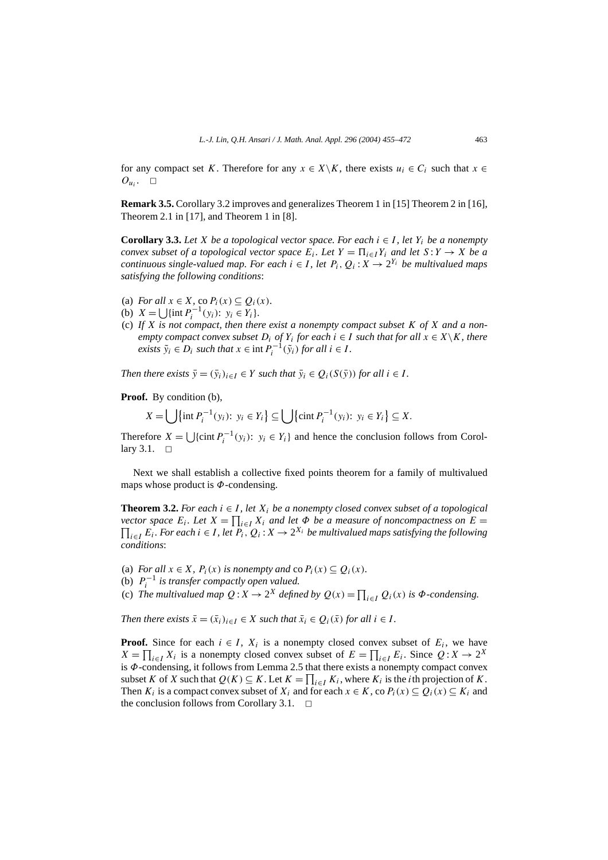for any compact set *K*. Therefore for any  $x \in X \backslash K$ , there exists  $u_i \in C_i$  such that  $x \in$  $O_{u_i}$ .  $\Box$ 

**Remark 3.5.** Corollary 3.2 improves and generalizes Theorem 1 in [15] Theorem 2 in [16], Theorem 2.1 in [17], and Theorem 1 in [8].

**Corollary 3.3.** *Let X be a topological vector space. For each*  $i \in I$ , *let*  $Y_i$  *be a nonempty convex subset of a topological vector space*  $E_i$ *. Let*  $Y = \prod_{i \in I} Y_i$  *and let*  $S: Y \to X$  *be a continuous single-valued map. For each*  $i \in I$ , let  $P_i, Q_i : X \to 2^{Y_i}$  be multivalued maps *satisfying the following conditions*:

- (a) *For all*  $x \in X$ *,* co  $P_i(x) \subseteq Q_i(x)$ *.*
- (b)  $X = \bigcup \{ \text{int } P_i^{-1}(y_i) : y_i \in Y_i \}.$
- (c) *If X is not compact, then there exist a nonempty compact subset K of X and a nonempty compact convex subset*  $D_i$  *of*  $Y_i$  *for each*  $i \in I$  *such that for all*  $x \in X \setminus K$ *, there exists*  $\tilde{y}_i \in D_i$  *such that*  $x \in \text{int } P_i^{-1}(\tilde{y}_i)$  *for all*  $i \in I$ *.*

*Then there exists*  $\bar{y} = (\bar{y}_i)_{i \in I} \in Y$  *such that*  $\bar{y}_i \in Q_i(S(\bar{y}))$  *for all*  $i \in I$ .

Proof. By condition (b),

$$
X = \bigcup \{ \text{int } P_i^{-1}(y_i) : y_i \in Y_i \} \subseteq \bigcup \{ \text{cint } P_i^{-1}(y_i) : y_i \in Y_i \} \subseteq X.
$$

Therefore  $X = \bigcup \{ \text{cint } P_i^{-1}(y_i): y_i \in Y_i \}$  and hence the conclusion follows from Corollary 3.1.  $\Box$ 

Next we shall establish a collective fixed points theorem for a family of multivalued maps whose product is *Φ*-condensing.

**Theorem 3.2.** *For each*  $i \in I$ , *let*  $X_i$  *be a nonempty closed convex subset of a topological vector space*  $E_i$ *. Let*  $X = \prod_{i \in I} X_i$  *and let*  $\Phi$  *be a measure of noncompactness on*  $E =$  $\prod_{i \in I} E_i$ *. For each*  $i \in I$ *, let*  $\overline{P_i}$ *,*  $Q_i$  : *X* → 2<sup>*X<sub>i</sub>*</sup> *be multivalued maps satisfying the following conditions*:

- (a) *For all*  $x \in X$ *,*  $P_i(x)$  *is nonempty and* co  $P_i(x) \subseteq Q_i(x)$ *.*
- (b)  $P_i^{-1}$  *is transfer compactly open valued.*

(c) *The multivalued map*  $Q: X \to 2^X$  *defined by*  $Q(x) = \prod_{i \in I} Q_i(x)$  *is*  $\Phi$ *-condensing.* 

*Then there exists*  $\bar{x} = (\bar{x}_i)_{i \in I} \in X$  *such that*  $\bar{x}_i \in Q_i(\bar{x})$  *for all*  $i \in I$ .

**Proof.** Since for each  $i \in I$ ,  $X_i$  is a nonempty closed convex subset of  $E_i$ , we have  $X = \prod_{i \in I} X_i$  is a nonempty closed convex subset of  $E = \prod_{i \in I} E_i$ . Since  $Q: X \to 2^X$ is *Φ*-condensing, it follows from Lemma 2.5 that there exists a nonempty compact convex subset *K* of *X* such that  $Q(K) \subseteq K$ . Let  $K = \prod_{i \in I} K_i$ , where  $K_i$  is the *i*th projection of *K*. Then  $K_i$  is a compact convex subset of  $X_i$  and for each  $x \in K$ , co  $P_i(x) \subseteq Q_i(x) \subseteq K_i$  and the conclusion follows from Corollary 3.1.  $\Box$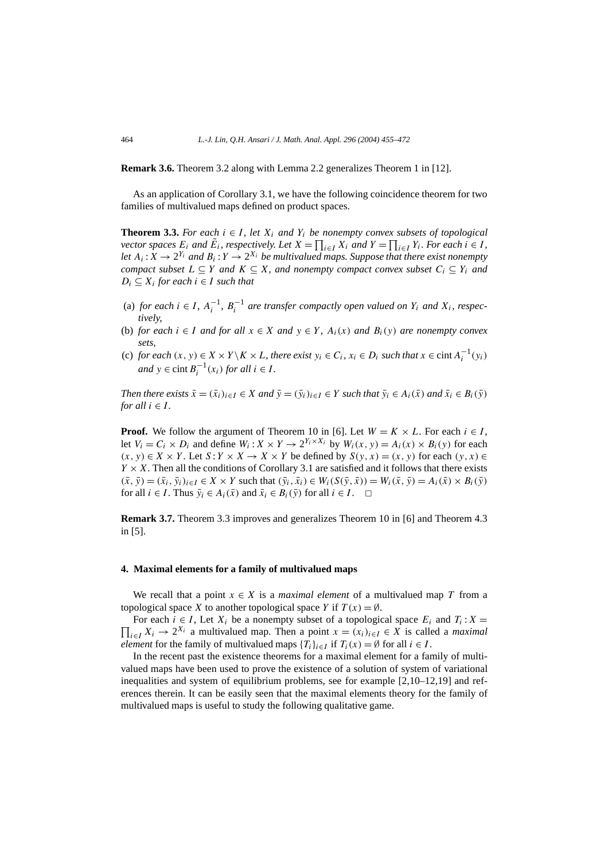**Remark 3.6.** Theorem 3.2 along with Lemma 2.2 generalizes Theorem 1 in [12].

As an application of Corollary 3.1, we have the following coincidence theorem for two families of multivalued maps defined on product spaces.

**Theorem 3.3.** *For each*  $i \in I$ , *let*  $X_i$  *and*  $Y_i$  *be nonempty convex subsets of topological vector spaces*  $E_i$  *and*  $\tilde{E}_i$ *, respectively. Let*  $X = \prod_{i \in I} X_i$  *and*  $Y = \prod_{i \in I} Y_i$ *. For each*  $i \in I$ *, let*  $A_i: X \to 2^{Y_i}$  and  $B_i: Y \to 2^{X_i}$  be multivalued maps. Suppose that there exist nonempty *compact subset*  $L \subseteq Y$  *and*  $K \subseteq X$ *, and nonempty compact convex subset*  $C_i \subseteq Y_i$  *and*  $D_i \subseteq X_i$  *for each*  $i \in I$  *such that* 

- (a) *for each*  $i \in I$ ,  $A_i^{-1}$ ,  $B_i^{-1}$  *are transfer compactly open valued on*  $Y_i$  *and*  $X_i$ *, respectively,*
- (b) *for each*  $i \in I$  *and for all*  $x \in X$  *and*  $y \in Y$ *,*  $A_i(x)$  *and*  $B_i(y)$  *are nonempty convex sets,*
- (c) *for each*  $(x, y) \in X \times Y \backslash K \times L$ *, there exist*  $y_i \in C_i$ *,*  $x_i \in D_i$  *such that*  $x \in \text{cint} A_i^{-1}(y_i)$ *and*  $y \in \text{cint } B_i^{-1}(x_i)$  *for all*  $i \in I$ .

Then there exists  $\bar{x} = (\bar{x}_i)_{i \in I} \in X$  and  $\bar{y} = (\bar{y}_i)_{i \in I} \in Y$  such that  $\bar{y}_i \in A_i(\bar{x})$  and  $\bar{x}_i \in B_i(\bar{y})$ *for all*  $i \in I$ .

**Proof.** We follow the argument of Theorem 10 in [6]. Let  $W = K \times L$ . For each  $i \in I$ , let  $V_i = C_i \times D_i$  and define  $W_i: X \times Y \rightarrow 2^{Y_i \times X_i}$  by  $W_i(x, y) = A_i(x) \times B_i(y)$  for each *(x, y)* ∈ *X* × *Y*. Let *S* : *Y* × *X* → *X* × *Y* be defined by *S*(*y, x*) = (*x, y*) for each (*y, x*) ∈  $Y \times X$ . Then all the conditions of Corollary 3.1 are satisfied and it follows that there exists  $(\bar{x}, \bar{y}) = (\bar{x}_i, \bar{y}_i)_{i \in I} \in X \times Y$  such that  $(\bar{y}_i, \bar{x}_i) \in W_i(S(\bar{y}, \bar{x})) = W_i(\bar{x}, \bar{y}) = A_i(\bar{x}) \times B_i(\bar{y})$ for all  $i \in I$ . Thus  $\bar{y}_i \in A_i(\bar{x})$  and  $\bar{x}_i \in B_i(\bar{y})$  for all  $i \in I$ .  $\Box$ 

**Remark 3.7.** Theorem 3.3 improves and generalizes Theorem 10 in [6] and Theorem 4.3 in [5].

## **4. Maximal elements for a family of multivalued maps**

We recall that a point  $x \in X$  is a *maximal element* of a multivalued map T from a topological space *X* to another topological space *Y* if  $T(x) = \emptyset$ .

For each  $i \in I$ , Let  $X_i$  be a nonempty subset of a topological space  $E_i$  and  $T_i$ :  $X =$  $\prod_{i \in I} X_i$  →  $2^{X_i}$  a multivalued map. Then a point  $x = (x_i)_{i \in I}$  ∈ *X* is called a *maximal element* for the family of multivalued maps  ${T_i}_{i \in I}$  if  $T_i(x) = \emptyset$  for all  $i \in I$ .

In the recent past the existence theorems for a maximal element for a family of multivalued maps have been used to prove the existence of a solution of system of variational inequalities and system of equilibrium problems, see for example [2,10–12,19] and references therein. It can be easily seen that the maximal elements theory for the family of multivalued maps is useful to study the following qualitative game.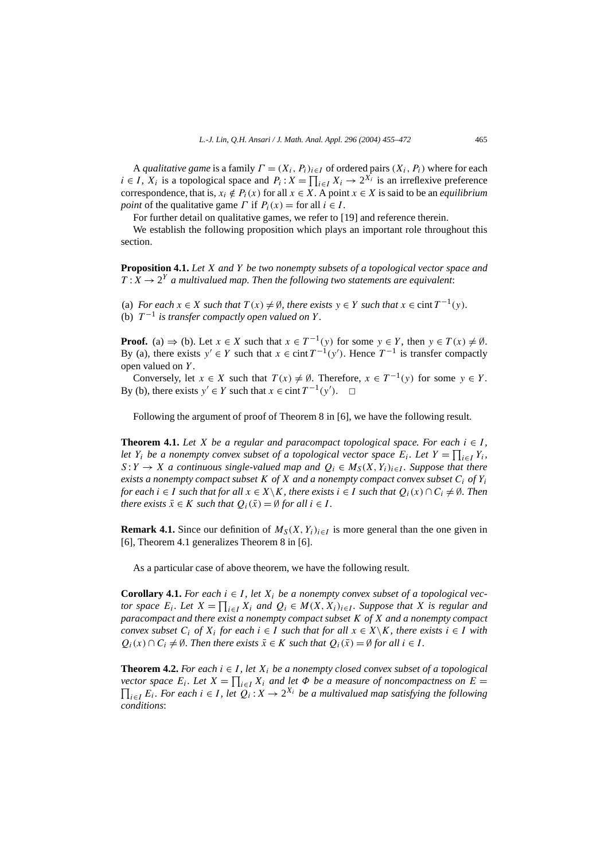A *qualitative game* is a family  $\Gamma = (X_i, P_i)_{i \in I}$  of ordered pairs  $(X_i, P_i)$  where for each *i* ∈ *I*,  $X_i$  is a topological space and  $P_i$  :  $X = \prod_{i \in I} X_i \rightarrow 2^{X_i}$  is an irreflexive preference correspondence, that is,  $x_i \notin P_i(x)$  for all  $x \in X$ . A point  $x \in X$  is said to be an *equilibrium point* of the qualitative game *Γ* if  $P_i(x) =$  for all  $i \in I$ .

For further detail on qualitative games, we refer to [19] and reference therein.

We establish the following proposition which plays an important role throughout this section.

**Proposition 4.1.** *Let X and Y be two nonempty subsets of a topological vector space and*  $T: X \to 2^Y$  *a multivalued map. Then the following two statements are equivalent:* 

(a) *For each*  $x \in X$  *such that*  $T(x) \neq \emptyset$ *, there exists*  $y \in Y$  *such that*  $x \in \text{cint } T^{-1}(y)$ *.* (b)  $T^{-1}$  *is transfer compactly open valued on*  $Y$ .

**Proof.** (a)  $\Rightarrow$  (b). Let  $x \in X$  such that  $x \in T^{-1}(y)$  for some  $y \in Y$ , then  $y \in T(x) \neq \emptyset$ . By (a), there exists  $y' \in Y$  such that  $x \in \text{cint } T^{-1}(y')$ . Hence  $T^{-1}$  is transfer compactly open valued on *Y* .

Conversely, let  $x \in X$  such that  $T(x) \neq \emptyset$ . Therefore,  $x \in T^{-1}(y)$  for some  $y \in Y$ . By (b), there exists  $y' \in Y$  such that  $x \in \text{cint } T^{-1}(y')$ .  $\Box$ 

Following the argument of proof of Theorem 8 in [6], we have the following result.

**Theorem 4.1.** Let *X* be a regular and paracompact topological space. For each  $i \in I$ , *let*  $Y_i$  *be a nonempty convex subset of a topological vector space*  $E_i$ *. Let*  $Y = \prod_{i \in I} Y_i$ *,*  $S: Y \to X$  *a continuous single-valued map and*  $Q_i \in M_S(X, Y_i)_{i \in I}$ *. Suppose that there exists a nonempty compact subset*  $K$  *of*  $X$  *and a nonempty compact convex subset*  $C_i$  *of*  $Y_i$ *for each*  $i \in I$  *such that for all*  $x \in X \setminus K$ *, there exists*  $i \in I$  *such that*  $Q_i(x) \cap C_i \neq \emptyset$ *. Then there exists*  $\bar{x} \in K$  *such that*  $Q_i(\bar{x}) = \emptyset$  *for all*  $i \in I$ *.* 

**Remark 4.1.** Since our definition of  $M_S(X, Y_i)_{i \in I}$  is more general than the one given in [6], Theorem 4.1 generalizes Theorem 8 in [6].

As a particular case of above theorem, we have the following result.

**Corollary 4.1.** *For each*  $i \in I$ , let  $X_i$  be a nonempty convex subset of a topological vec*tor space*  $E_i$ *. Let*  $X = \prod_{i \in I} X_i$  *and*  $Q_i \in M(X, X_i)_{i \in I}$ *. Suppose that*  $X$  *is regular and paracompact and there exist a nonempty compact subset K of X and a nonempty compact convex subset*  $C_i$  *of*  $X_i$  *for each*  $i \in I$  *such that for all*  $x \in X \setminus K$ *, there exists*  $i \in I$  *with*  $Q_i(x) \cap C_i \neq \emptyset$ . Then there exists  $\bar{x} \in K$  such that  $Q_i(\bar{x}) = \emptyset$  for all  $i \in I$ .

**Theorem 4.2.** *For each*  $i \in I$ *, let*  $X_i$  *be a nonempty closed convex subset of a topological vector space*  $E_i$ *. Let*  $X = \prod_{i \in I} X_i$  *and let*  $\Phi$  *be a measure of noncompactness on*  $E =$  $\prod_{i \in I} E_i$ *. For each i* ∈ *I, let*  $\widetilde{Q_i}$  : *X* → 2<sup>*X<sub>i</sub>*</sup> *be a multivalued map satisfying the following conditions*: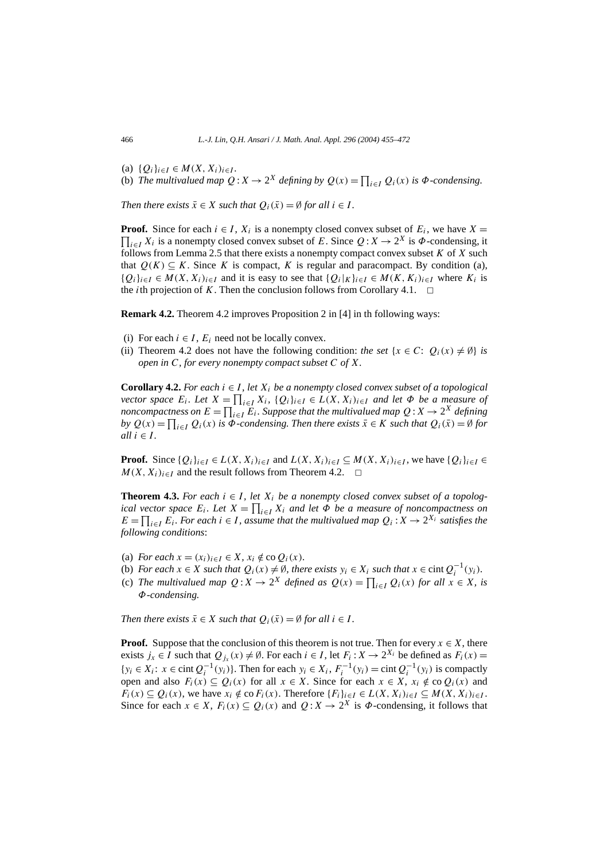(a)  ${Q_i}_{i \in I} \in M(X, X_i)_{i \in I}$ .

(b) *The multivalued map*  $Q: X \to 2^X$  *defining by*  $Q(x) = \prod_{i \in I} Q_i(x)$  *is*  $\Phi$ *-condensing.* 

*Then there exists*  $\bar{x} \in X$  *such that*  $Q_i(\bar{x}) = \emptyset$  *for all*  $i \in I$ *.* 

**Proof.** Since for each  $i \in I$ ,  $X_i$  is a nonempty closed convex subset of  $E_i$ , we have  $X =$  $\prod_{i \in I} X_i$  is a nonempty closed convex subset of *E*. Since  $Q: X \to 2^X$  is  $\Phi$ -condensing, it follows from Lemma 2.5 that there exists a nonempty compact convex subset  $K$  of  $X$  such that  $Q(K) \subseteq K$ . Since K is compact, K is regular and paracompact. By condition (a),  ${Q_i}_{i \in I} \in M(X, X_i)_{i \in I}$  and it is easy to see that  ${Q_i}_{K}$ <sub>*i* $\in I$ </sub> ∈ *M*(*K, K<sub>i</sub>*) $_{i \in I}$  where *K<sub>i</sub>* is the *i*th projection of *K*. Then the conclusion follows from Corollary 4.1.  $\Box$ 

**Remark 4.2.** Theorem 4.2 improves Proposition 2 in [4] in th following ways:

- (i) For each  $i \in I$ ,  $E_i$  need not be locally convex.
- (ii) Theorem 4.2 does not have the following condition: *the set* { $x \in C$ :  $Q_i(x) \neq \emptyset$ } *is open in C, for every nonempty compact subset C of X*.

**Corollary 4.2.** *For each*  $i \in I$ , let  $X_i$  be a nonempty closed convex subset of a topological *vector space*  $E_i$ *. Let*  $X = \prod_{i \in I} X_i$ *,*  $\{Q_i\}_{i \in I} \in L(X, X_i)_{i \in I}$  and let  $\Phi$  be a measure of *noncompactness on*  $E = \prod_{i \in I} E_i$ . Suppose that the multivalued map  $Q: X \to 2^X$  defining *by*  $Q(x) = \prod_{i \in I} Q_i(x)$  *is*  $\Phi$ *-condensing. Then there exists*  $\bar{x} \in K$  *such that*  $Q_i(\bar{x}) = \emptyset$  *for*  $all \, i \in I.$ 

**Proof.** Since  $\{Q_i\}_{i \in I} \in L(X, X_i)_{i \in I}$  and  $L(X, X_i)_{i \in I} \subseteq M(X, X_i)_{i \in I}$ , we have  $\{Q_i\}_{i \in I} \in L(X, X_i)$ *M*(*X*, *X<sub>i</sub>*)<sub>*i*∈*I*</sub> and the result follows from Theorem 4.2.  $□$ 

**Theorem 4.3.** For each  $i \in I$ , let  $X_i$  be a nonempty closed convex subset of a topolog*ical vector space*  $E_i$ *. Let*  $X = \prod_{i \in I} X_i$  *and let*  $\Phi$  *be a measure of noncompactness on*  $E = \prod_{i \in I} E_i$ *. For each*  $i \in I$ *, assume that the multivalued map*  $Q_i : X \to 2^{X_i}$  *satisfies the following conditions*:

- (a) *For each*  $x = (x_i)_{i \in I} \in X$ *,*  $x_i \notin \text{co } Q_i(x)$ *.*
- (b) *For each*  $x \in X$  *such that*  $Q_i(x) \neq \emptyset$ *, there exists*  $y_i \in X_i$  *such that*  $x \in \text{cint } Q_i^{-1}(y_i)$ *.*
- (c) *The multivalued map*  $Q: X \to 2^X$  *defined as*  $Q(x) = \prod_{i \in I} Q_i(x)$  *for all*  $x \in X$ *, is Φ-condensing.*

*Then there exists*  $\bar{x} \in X$  *such that*  $Q_i(\bar{x}) = \emptyset$  *for all*  $i \in I$ *.* 

**Proof.** Suppose that the conclusion of this theorem is not true. Then for every  $x \in X$ , there exists *j<sub>x</sub>* ∈ *I* such that  $Q_j(x) \neq \emptyset$ . For each  $i \in I$ , let  $F_i: X \to 2^{X_i}$  be defined as  $F_i(x) =$ *{y<sub>i</sub>* ∈ *X<sub>i</sub>*: *x* ∈ cint  $Q_i^{-1}(y_i)$ }. Then for each  $y_i$  ∈ *X<sub>i</sub>*,  $F_i^{-1}(y_i)$  = cint  $Q_i^{-1}(y_i)$  is compactly open and also  $F_i(x) \subseteq Q_i(x)$  for all  $x \in X$ . Since for each  $x \in X$ ,  $x_i \notin \text{co } Q_i(x)$  and  $F_i(x) \subseteq Q_i(x)$ , we have  $x_i \notin \text{co } F_i(x)$ . Therefore  $\{F_i\}_{i \in I} \in L(X, X_i)_{i \in I} \subseteq M(X, X_i)_{i \in I}$ . Since for each  $x \in X$ ,  $F_i(x) \subseteq Q_i(x)$  and  $Q: X \to 2^X$  is  $\Phi$ -condensing, it follows that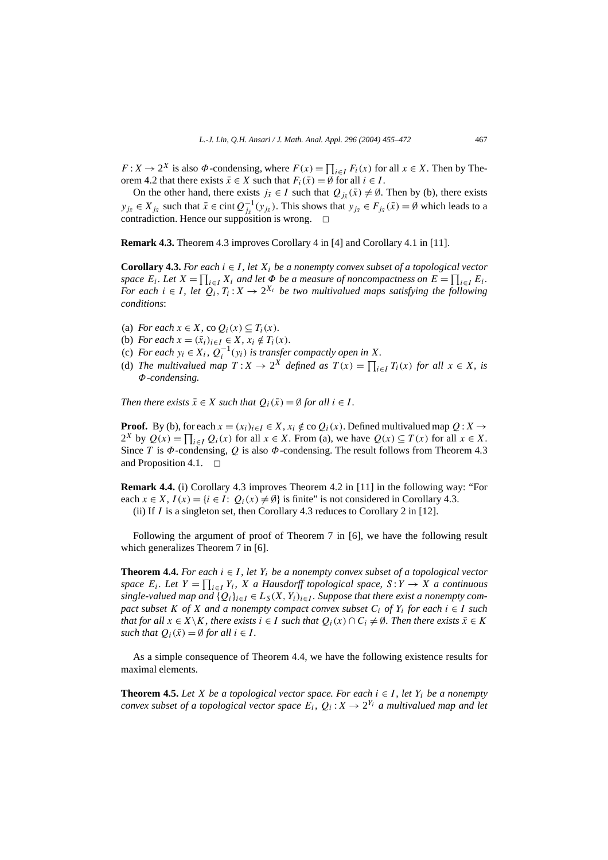*F* : *X*  $\rightarrow$  2<sup>*X*</sup> is also  $\Phi$ -condensing, where  $F(x) = \prod_{i \in I} F_i(x)$  for all  $x \in X$ . Then by Theorem 4.2 that there exists  $\bar{x} \in X$  such that  $F_i(\bar{x}) = \emptyset$  for all  $i \in I$ .

On the other hand, there exists  $j_{\bar{x}} \in I$  such that  $Q_{j_{\bar{x}}}(\bar{x}) \neq \emptyset$ . Then by (b), there exists *y*<sub>jx</sub> ∈ *X*<sub>jx</sub> such that  $\bar{x}$  ∈ cint  $Q^{-1}_{j\bar{x}}(y_{j\bar{x}})$ . This shows that  $y_{j\bar{x}}$  ∈ *F*<sub>jx</sub> $(\bar{x}) = ∅$  which leads to a contradiction. Hence our supposition is wrong.  $\Box$ 

**Remark 4.3.** Theorem 4.3 improves Corollary 4 in [4] and Corollary 4.1 in [11].

**Corollary 4.3.** *For each*  $i \in I$ , let  $X_i$  be a nonempty convex subset of a topological vector *space*  $E_i$ *. Let*  $X = \prod_{i \in I} X_i$  *and let*  $\Phi$  *be a measure of noncompactness on*  $E = \prod_{i \in I} E_i$ *. For each*  $i \in I$ , let  $\overline{Q_i}, T_i : X \to 2^{X_i}$  *be two multivalued maps satisfying the following conditions*:

- (a) *For each*  $x \in X$ *, co*  $Q_i(x) \subseteq T_i(x)$ *.*
- (b) *For each*  $x = (\bar{x}_i)_{i \in I} \in X$ *,*  $x_i \notin T_i(x)$ *.*
- (c) *For each*  $y_i \in X_i$ ,  $Q_i^{-1}(y_i)$  *is transfer compactly open in X.*
- (d) *The multivalued map*  $T: X \to 2^X$  *defined as*  $T(x) = \prod_{i \in I} T_i(x)$  *for all*  $x \in X$ *, is Φ-condensing.*

*Then there exists*  $\bar{x} \in X$  *such that*  $Q_i(\bar{x}) = \emptyset$  *for all*  $i \in I$ *.* 

**Proof.** By (b), for each  $x = (x_i)_{i \in I} \in X$ ,  $x_i \notin \text{co } Q_i(x)$ . Defined multivalued map  $Q: X \to Y$  $2^X$  by  $Q(x) = \prod_{i \in I} Q_i(x)$  for all  $x \in X$ . From (a), we have  $Q(x) \subseteq T(x)$  for all  $x \in X$ . Since *T* is *Φ*-condensing, *Q* is also *Φ*-condensing. The result follows from Theorem 4.3 and Proposition 4.1.  $\Box$ 

**Remark 4.4.** (i) Corollary 4.3 improves Theorem 4.2 in [11] in the following way: "For each  $x \in X$ ,  $I(x) = \{i \in I: Q_i(x) \neq \emptyset\}$  is finite" is not considered in Corollary 4.3. (ii) If *I* is a singleton set, then Corollary 4.3 reduces to Corollary 2 in [12].

Following the argument of proof of Theorem 7 in [6], we have the following result which generalizes Theorem 7 in [6].

**Theorem 4.4.** For each  $i \in I$ , let  $Y_i$  be a nonempty convex subset of a topological vector *space*  $E_i$ *. Let*  $Y = \prod_{i \in I} Y_i$ *,*  $X$  *a Hausdorff topological space,*  $S: Y \to X$  *a continuous single-valued map and*  $\{Q_i\}_{i \in I} \in L_S(X, Y_i)_{i \in I}$ . Suppose that there exist a nonempty com*pact subset K of X and a nonempty compact convex subset*  $C_i$  *of*  $Y_i$  *for each*  $i \in I$  *such that for all*  $x \in X \setminus K$ *, there exists*  $i \in I$  *such that*  $Q_i(x) \cap C_i \neq \emptyset$ *. Then there exists*  $\overline{x} \in K$ *such that*  $O_i(\bar{x}) = \emptyset$  *for all*  $i \in I$ .

As a simple consequence of Theorem 4.4, we have the following existence results for maximal elements.

**Theorem 4.5.** Let *X* be a topological vector space. For each  $i \in I$ , let  $Y_i$  be a nonempty *convex subset of a topological vector space*  $E_i$ ,  $Q_i$ :  $X \rightarrow 2^{Y_i}$  *a multivalued map and let*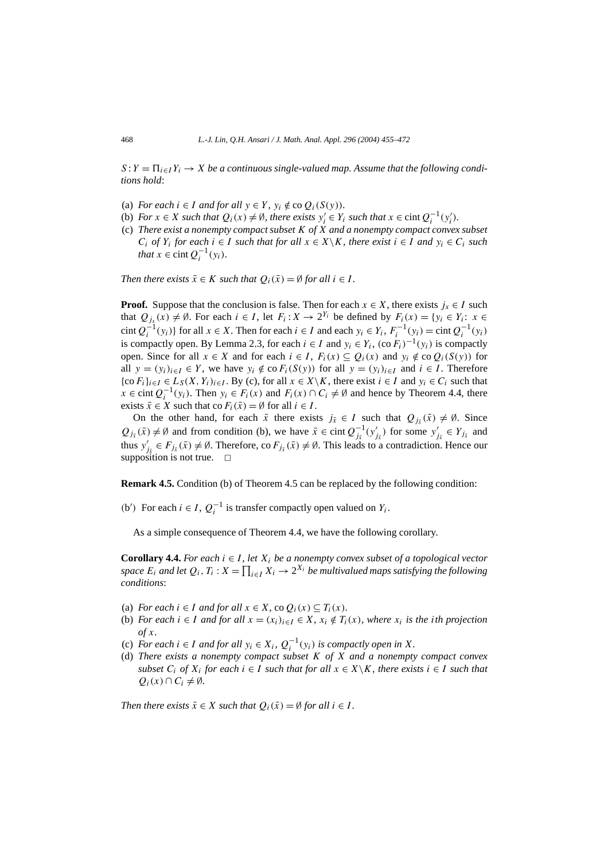$S: Y = \prod_{i \in I} Y_i \to X$  *be a continuous single-valued map. Assume that the following conditions hold*:

- (a) *For each*  $i \in I$  *and for all*  $y \in Y$ *,*  $y_i \notin \text{co } Q_i(S(y))$ *.*
- (b) *For*  $x \in X$  *such that*  $Q_i(x) \neq \emptyset$ *, there exists*  $y'_i \in Y_i$  *such that*  $x \in \text{cint } Q_i^{-1}(y'_i)$ *.*
- (c) *There exist a nonempty compact subset K of X and a nonempty compact convex subset C<sub>i</sub> of*  $Y_i$  *for each*  $i \in I$  *such that for all*  $x \in X \setminus K$ *, there exist*  $i \in I$  *and*  $y_i \in C_i$  *such that*  $x \in \text{cint } Q_i^{-1}(y_i)$ *.*

*Then there exists*  $\bar{x} \in K$  *such that*  $Q_i(\bar{x}) = \emptyset$  *for all*  $i \in I$ *.* 

**Proof.** Suppose that the conclusion is false. Then for each  $x \in X$ , there exists  $j_x \in I$  such that  $Q_{jx}(x) \neq \emptyset$ . For each  $i \in I$ , let  $F_i: X \to 2^{Y_i}$  be defined by  $F_i(x) = \{y_i \in Y_i: x \in I\}$ cint  $Q_i^{-1}(y_i)$  for all  $x \in X$ . Then for each  $i \in I$  and each  $y_i \in Y_i$ ,  $F_i^{-1}(y_i) = \text{cint } Q_i^{-1}(y_i)$ is compactly open. By Lemma 2.3, for each  $i \in I$  and  $y_i \in Y_i$ ,  $(\text{co } F_i)^{-1}(y_i)$  is compactly open. Since for all  $x \in X$  and for each  $i \in I$ ,  $F_i(x) \subseteq Q_i(x)$  and  $y_i \notin \text{co } Q_i(S(y))$  for all *y* =  $(y_i)_{i \in I}$  ∈ *Y*, we have  $y_i \notin$  co  $F_i(S(y))$  for all  $y = (y_i)_{i \in I}$  and  $i \in I$ . Therefore {co  $F_i$ } $_{i \in I}$  ∈  $L_S(X, Y_i)_{i \in I}$ . By (c), for all  $x \in X\setminus K$ , there exist  $i \in I$  and  $y_i \in C_i$  such that *x* ∈ cint  $Q_i^{-1}(y_i)$ . Then  $y_i$  ∈  $F_i(x)$  and  $F_i(x) \cap C_i \neq \emptyset$  and hence by Theorem 4.4, there exists  $\bar{x} \in X$  such that co  $F_i(\bar{x}) = \emptyset$  for all  $i \in I$ .

On the other hand, for each  $\bar{x}$  there exists  $j_{\bar{x}} \in I$  such that  $Q_{j_{\bar{x}}}(\bar{x}) \neq \emptyset$ . Since  $Q_{j\bar{x}}(\bar{x}) \neq \emptyset$  and from condition (b), we have  $\bar{x} \in \text{cint } Q_{j\bar{x}}^{-1}(y'_{j\bar{x}})$  for some  $y'_{j\bar{x}} \in Y_{j\bar{x}}$  and thus  $y'_{j\overline{x}} \in F_{j\overline{x}}(\overline{x}) \neq \emptyset$ . Therefore, co  $F_{j\overline{x}}(\overline{x}) \neq \emptyset$ . This leads to a contradiction. Hence our supposition is not true.  $\square$ 

**Remark 4.5.** Condition (b) of Theorem 4.5 can be replaced by the following condition:

*(b'*) For each *i* ∈ *I*,  $Q_i^{-1}$  is transfer compactly open valued on  $Y_i$ .

As a simple consequence of Theorem 4.4, we have the following corollary.

**Corollary 4.4.** *For each*  $i \in I$ , *let*  $X_i$  *be a nonempty convex subset of a topological vector space*  $E_i$  *and let*  $Q_i$ ,  $T_i$  :  $X = \prod_{i \in I} X_i \rightarrow 2^{X_i}$  *be multivalued maps satisfying the following conditions*:

- (a) *For each*  $i \in I$  *and for all*  $x \in X$ , co  $Q_i(x) \subseteq T_i(x)$ *.*
- (b) *For each i* ∈ *I and for all*  $x = (x_i)_{i \in I}$  ∈  $X$ *,*  $x_i \notin T_i(x)$ *, where*  $x_i$  *is the ith projection of x.*
- (c) For each  $i \in I$  and for all  $y_i \in X_i$ ,  $Q_i^{-1}(y_i)$  is compactly open in X.
- (d) *There exists a nonempty compact subset K of X and a nonempty compact convex subset*  $C_i$  *of*  $X_i$  *for each*  $i \in I$  *such that for all*  $x \in X \setminus K$ *, there exists*  $i \in I$  *such that*  $Q_i(x)$  ∩  $C_i \neq \emptyset$ *.*

*Then there exists*  $\bar{x} \in X$  *such that*  $Q_i(\bar{x}) = \emptyset$  *for all*  $i \in I$ *.*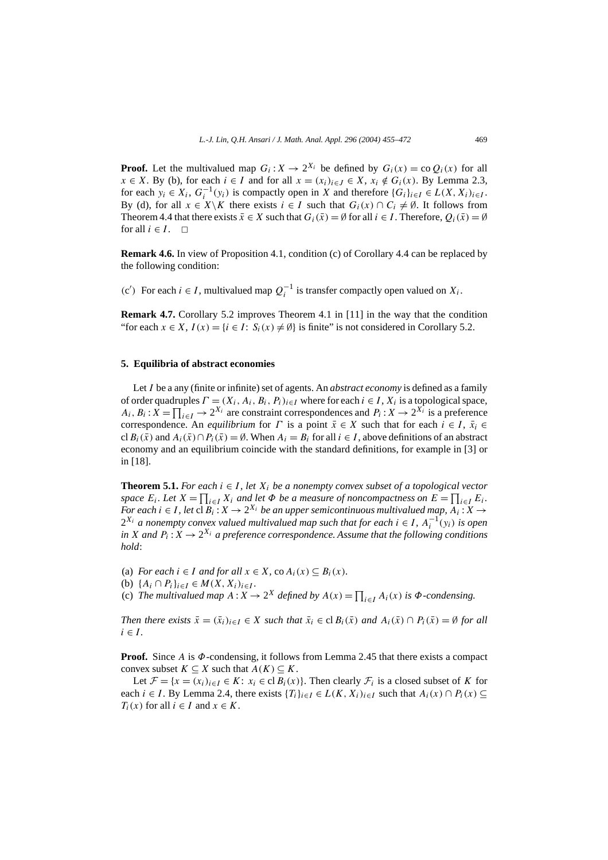**Proof.** Let the multivalued map  $G_i: X \to 2^{X_i}$  be defined by  $G_i(x) = \text{co } Q_i(x)$  for all *x* ∈ *X*. By (b), for each *i* ∈ *I* and for all  $x = (x_i)_{i \in J}$  ∈ *X*,  $x_i \notin G_i(x)$ . By Lemma 2.3, for each  $y_i \in X_i$ ,  $G_i^{-1}(y_i)$  is compactly open in *X* and therefore  $\{G_i\}_{i \in I} \in L(X, X_i)_{i \in I}$ . By (d), for all  $x \in X \backslash K$  there exists  $i \in I$  such that  $G_i(x) \cap C_i \neq \emptyset$ . It follows from Theorem 4.4 that there exists  $\bar{x} \in X$  such that  $G_i(\bar{x}) = \emptyset$  for all  $i \in I$ . Therefore,  $Q_i(\bar{x}) = \emptyset$ for all  $i \in I$ .  $\Box$ 

**Remark 4.6.** In view of Proposition 4.1, condition (c) of Corollary 4.4 can be replaced by the following condition:

*(c'*) For each *i* ∈ *I*, multivalued map  $Q_i^{-1}$  is transfer compactly open valued on  $X_i$ .

**Remark 4.7.** Corollary 5.2 improves Theorem 4.1 in [11] in the way that the condition "for each  $x \in X$ ,  $I(x) = \{i \in I: S_i(x) \neq \emptyset\}$  is finite" is not considered in Corollary 5.2.

## **5. Equilibria of abstract economies**

Let *I* be a any (finite or infinite) set of agents. An *abstract economy* is defined as a family of order quadruples  $\Gamma = (X_i, A_i, B_i, P_i)_{i \in I}$  where for each  $i \in I$ ,  $X_i$  is a topological space,  $A_i$ ,  $B_i$ :  $X = \prod_{i \in I} \rightarrow 2^{X_i}$  are constraint correspondences and  $P_i$ :  $X \rightarrow 2^{X_i}$  is a preference correspondence. An *equilibrium* for *Γ* is a point  $\bar{x} \in X$  such that for each  $i \in I$ ,  $\bar{x}_i \in$ cl  $B_i(\bar{x})$  and  $A_i(\bar{x}) \cap P_i(\bar{x}) = \emptyset$ . When  $A_i = B_i$  for all  $i \in I$ , above definitions of an abstract economy and an equilibrium coincide with the standard definitions, for example in [3] or in [18].

**Theorem 5.1.** *For each*  $i \in I$ , let  $X_i$  be a nonempty convex subset of a topological vector *space*  $E_i$ *. Let*  $X = \prod_{i \in I} X_i$  *and let*  $\Phi$  *be a measure of noncompactness on*  $E = \prod_{i \in I} E_i$ *. For each*  $i \in I$ , let  $\text{cl } B_i : X \to 2^{X_i}$  *be an upper semicontinuous multivalued map*,  $A_i : X \to Y$  $2^{X_i}$  *a* nonempty convex valued multivalued map such that for each  $i \in I$ ,  $A_i^{-1}(y_i)$  is open *in X* and  $P_i$ :  $X \rightarrow 2^{X_i}$  *a preference correspondence. Assume that the following conditions hold*:

(a) *For each*  $i \in I$  *and for all*  $x \in X$ , co $A_i(x) \subseteq B_i(x)$ *.* 

(b)  ${A_i \cap P_i}_{i \in I} \in M(X, X_i)_{i \in I}$ .

(c) *The multivalued map*  $A: X \to 2^X$  *defined by*  $A(x) = \prod_{i \in I} A_i(x)$  *is*  $\Phi$ *-condensing.* 

*Then there exists*  $\bar{x} = (\bar{x}_i)_{i \in I} \in X$  *such that*  $\bar{x}_i \in \text{cl } B_i(\bar{x})$  *and*  $A_i(\bar{x}) \cap P_i(\bar{x}) = \emptyset$  *for all*  $i \in I$ .

**Proof.** Since *A* is *Φ*-condensing, it follows from Lemma 2.45 that there exists a compact convex subset  $K \subseteq X$  such that  $A(K) \subseteq K$ .

Let  $\mathcal{F} = \{x = (x_i)_{i \in I} \in K : x_i \in \text{cl } B_i(x)\}\.$  Then clearly  $\mathcal{F}_i$  is a closed subset of *K* for each *i* ∈ *I*. By Lemma 2.4, there exists  ${T_i}_{i \in I}$  ∈  $L(K, X_i)_{i \in I}$  such that  $A_i(x) \cap P_i(x)$  ⊆ *T<sub>i</sub>*(*x*) for all  $i \in I$  and  $x \in K$ .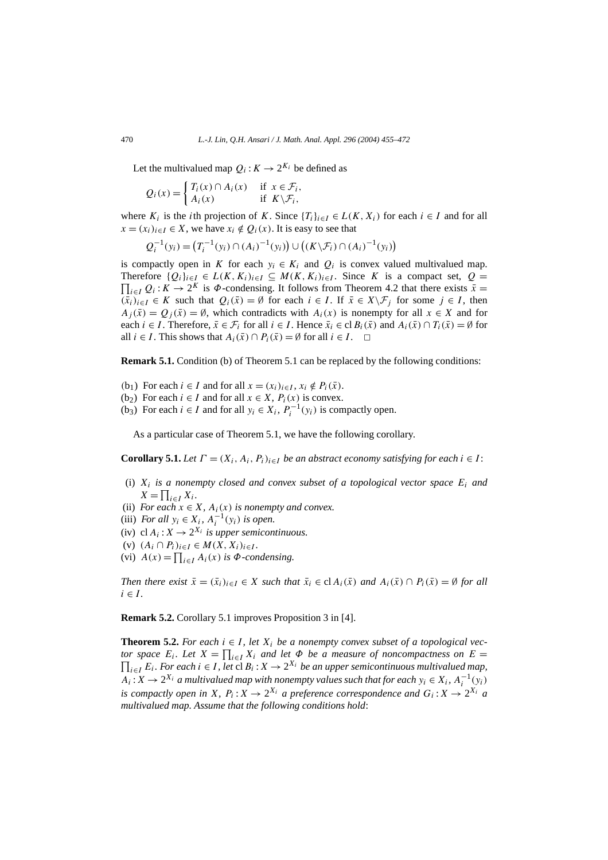Let the multivalued map  $Q_i: K \to 2^{K_i}$  be defined as

$$
Q_i(x) = \begin{cases} T_i(x) \cap A_i(x) & \text{if } x \in \mathcal{F}_i, \\ A_i(x) & \text{if } K \backslash \mathcal{F}_i, \end{cases}
$$

where  $K_i$  is the *i*th projection of *K*. Since  $\{T_i\}_{i \in I} \in L(K, X_i)$  for each  $i \in I$  and for all *x* =  $(x_i)_{i \in I}$  ∈ *X*, we have  $x_i \notin Q_i(x)$ . It is easy to see that

$$
Q_i^{-1}(y_i) = (T_i^{-1}(y_i) \cap (A_i)^{-1}(y_i)) \cup ((K \backslash \mathcal{F}_i) \cap (A_i)^{-1}(y_i))
$$

is compactly open in *K* for each  $y_i \in K_i$  and  $Q_i$  is convex valued multivalued map.  $\prod_{i \in I} Q_i$ :  $K \to 2^K$  is  $\Phi$ -condensing. It follows from Theorem 4.2 that there exists  $\bar{x} =$ Therefore  $\{Q_i\}_{i\in I} \in L(K, K_i)_{i\in I} \subseteq M(K, K_i)_{i\in I}$ . Since *K* is a compact set,  $Q =$  $(\bar{x}_i)_{i \in I} \in K$  such that  $Q_i(\bar{x}) = \emptyset$  for each  $i \in I$ . If  $\bar{x} \in X \setminus \mathcal{F}_j$  for some  $j \in I$ , then  $A_j(\bar{x}) = Q_j(\bar{x}) = \emptyset$ , which contradicts with  $A_i(x)$  is nonempty for all  $x \in X$  and for each *i* ∈ *I*. Therefore,  $\bar{x}$  ∈  $\mathcal{F}_i$  for all *i* ∈ *I*. Hence  $\bar{x}_i$  ∈ cl  $B_i(\bar{x})$  and  $A_i(\bar{x}) \cap T_i(\bar{x}) = \emptyset$  for all  $i \in I$ . This shows that  $A_i(\bar{x}) \cap P_i(\bar{x}) = \emptyset$  for all  $i \in I$ .  $\Box$ 

**Remark 5.1.** Condition (b) of Theorem 5.1 can be replaced by the following conditions:

- *(b<sub>1</sub>)* For each  $i \in I$  and for all  $x = (x_i)_{i \in I}$ ,  $x_i \notin P_i(\bar{x})$ .
- (b<sub>2</sub>) For each  $i \in I$  and for all  $x \in X$ ,  $P_i(x)$  is convex.
- (b<sub>3</sub>) For each  $i \in I$  and for all  $y_i \in X_i$ ,  $P_i^{-1}(y_i)$  is compactly open.

As a particular case of Theorem 5.1, we have the following corollary.

**Corollary 5.1.** *Let*  $\Gamma = (X_i, A_i, P_i)_{i \in I}$  *be an abstract economy satisfying for each*  $i \in I$ :

- (i)  $X_i$  *is a nonempty closed and convex subset of a topological vector space*  $E_i$  *and*  $X = \prod_{i \in I} X_i$ .
- (ii) *For each*  $x \in X$ *,*  $A_i(x)$  *is nonempty and convex.*
- (iii) *For all*  $y_i \in X_i$ ,  $A_i^{-1}(y_i)$  *is open.*
- (iv) cl  $A_i: X \to 2^{X_i}$  *is upper semicontinuous.*
- (v)  $(A_i \cap P_i)_{i \in I} \in M(X, X_i)_{i \in I}$ .
- (vi)  $A(x) = \prod_{i \in I} A_i(x)$  *is*  $\Phi$ *-condensing.*

*Then there exist*  $\bar{x} = (\bar{x}_i)_{i \in I} \in X$  *such that*  $\bar{x}_i \in \text{cl } A_i(\bar{x})$  *and*  $A_i(\bar{x}) \cap P_i(\bar{x}) = \emptyset$  *for all*  $i \in I$ .

**Remark 5.2.** Corollary 5.1 improves Proposition 3 in [4].

**Theorem 5.2.** For each  $i \in I$ , let  $X_i$  be a nonempty convex subset of a topological vec*tor space*  $E_i$ *. Let*  $X = \prod_{i \in I} X_i$  *and let*  $\Phi$  *be a measure of noncompactness on*  $E =$  $\prod_{i \in I} E_i$ *. For each*  $i \in I$ *, let* cl *B<sub>i</sub>* : *X* → 2<sup>*X<sub>i</sub> be an upper semicontinuous multivalued map,*</sup>  $A_i: X \to 2^{X_i}$  *a multivalued map with nonempty values such that for each*  $y_i \in X_i$ ,  $A_i^{-1}(y_i)$ *is compactly open in X*,  $P_i: X \to 2^{X_i}$  *a preference correspondence and*  $G_i: X \to 2^{X_i}$  *a multivalued map. Assume that the following conditions hold*: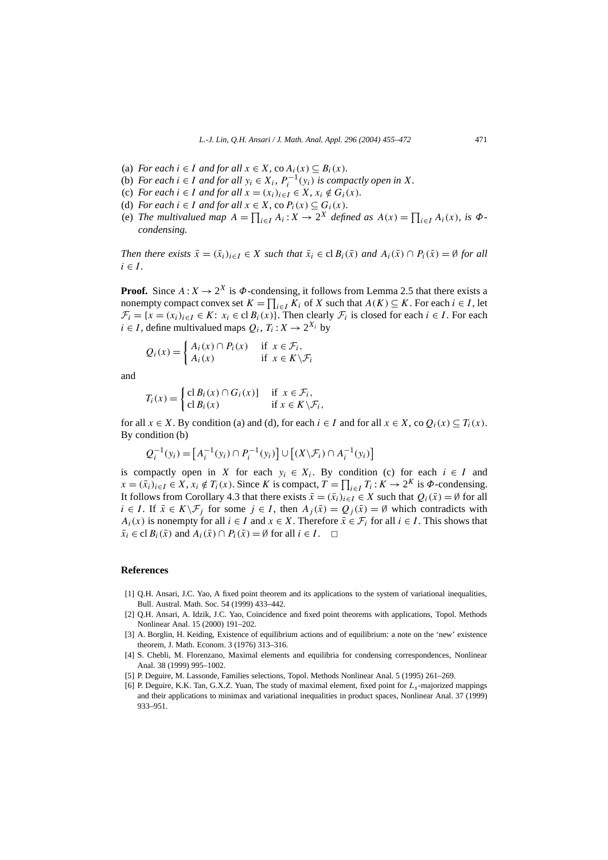- (a) *For each*  $i \in I$  *and for all*  $x \in X$ , co $A_i(x) \subseteq B_i(x)$ *.*
- (b) *For each*  $i \in I$  *and for all*  $y_i \in X_i$ ,  $P_i^{-1}(y_i)$  *is compactly open in*  $X$ *.*
- (c) *For each*  $i \in I$  *and for all*  $x = (x_i)_{i \in I} \in X$ *,*  $x_i \notin G_i(x)$ *.*
- (d) *For each*  $i \in I$  *and for all*  $x \in X$ *, co*  $P_i(x) \subseteq G_i(x)$ *.*
- (e) *The multivalued map*  $A = \prod_{i \in I} A_i : X \to 2^X$  *defined as*  $A(x) = \prod_{i \in I} A_i(x)$ *, is*  $\Phi$ *condensing.*

*Then there exists*  $\bar{x} = (\bar{x}_i)_{i \in I} \in X$  *such that*  $\bar{x}_i \in \text{cl } B_i(\bar{x})$  *and*  $A_i(\bar{x}) \cap P_i(\bar{x}) = \emptyset$  *for all*  $i \in I$ .

**Proof.** Since  $A: X \to 2^X$  is  $\Phi$ -condensing, it follows from Lemma 2.5 that there exists a nonempty compact convex set  $K = \prod_{i \in I} K_i$  of *X* such that  $A(K) \subseteq K$ . For each  $i \in I$ , let  $\mathcal{F}_i = \{x = (x_i)_{i \in I} \in K : x_i \in \text{cl } B_i(x)\}\.$  Then clearly  $\mathcal{F}_i$  is closed for each  $i \in I$ . For each  $i \in I$ , define multivalued maps  $Q_i$ ,  $T_i: X \to 2^{X_i}$  by

$$
Q_i(x) = \begin{cases} A_i(x) \cap P_i(x) & \text{if } x \in \mathcal{F}_i, \\ A_i(x) & \text{if } x \in K \backslash \mathcal{F}_i \end{cases}
$$

and

$$
T_i(x) = \begin{cases} \operatorname{cl} B_i(x) \cap G_i(x) & \text{if } x \in \mathcal{F}_i, \\ \operatorname{cl} B_i(x) & \text{if } x \in K \setminus \mathcal{F}_i, \end{cases}
$$

for all  $x \in X$ . By condition (a) and (d), for each  $i \in I$  and for all  $x \in X$ , co  $Q_i(x) \subseteq T_i(x)$ . By condition (b)

$$
Q_i^{-1}(y_i) = [A_i^{-1}(y_i) \cap P_i^{-1}(y_i)] \cup [(X \backslash \mathcal{F}_i) \cap A_i^{-1}(y_i)]
$$

is compactly open in *X* for each  $y_i \in X_i$ . By condition (c) for each  $i \in I$  and *x* =  $(\bar{x}_i)_{i \in I}$  ∈ *X*,  $x_i \notin T_i(x)$ . Since *K* is compact,  $T = \prod_{i \in I} T_i$  :  $K \to 2^K$  is  $\Phi$ -condensing. It follows from Corollary 4.3 that there exists  $\bar{x} = (\bar{x}_i)_{i \in I} \in X$  such that  $Q_i(\bar{x}) = \emptyset$  for all *i* ∈ *I*. If  $\bar{x}$  ∈ *K* \ $\mathcal{F}_i$  for some *j* ∈ *I*, then  $A_i(\bar{x}) = Q_i(\bar{x}) = ∅$  which contradicts with  $A_i(x)$  is nonempty for all  $i \in I$  and  $x \in X$ . Therefore  $\bar{x} \in \mathcal{F}_i$  for all  $i \in I$ . This shows that  $\bar{x}_i \in \text{cl } B_i(\bar{x})$  and  $A_i(\bar{x}) \cap P_i(\bar{x}) = \emptyset$  for all  $i \in I$ .  $\Box$ 

## **References**

- [1] Q.H. Ansari, J.C. Yao, A fixed point theorem and its applications to the system of variational inequalities, Bull. Austral. Math. Soc. 54 (1999) 433–442.
- [2] Q.H. Ansari, A. Idzik, J.C. Yao, Coincidence and fixed point theorems with applications, Topol. Methods Nonlinear Anal. 15 (2000) 191–202.
- [3] A. Borglin, H. Keiding, Existence of equilibrium actions and of equilibrium: a note on the 'new' existence theorem, J. Math. Econom. 3 (1976) 313–316.
- [4] S. Chebli, M. Florenzano, Maximal elements and equilibria for condensing correspondences, Nonlinear Anal. 38 (1999) 995–1002.
- [5] P. Deguire, M. Lassonde, Families selections, Topol. Methods Nonlinear Anal. 5 (1995) 261–269.
- [6] P. Deguire, K.K. Tan, G.X.Z. Yuan, The study of maximal element, fixed point for *Ls*-majorized mappings and their applications to minimax and variational inequalities in product spaces, Nonlinear Anal. 37 (1999) 933–951.